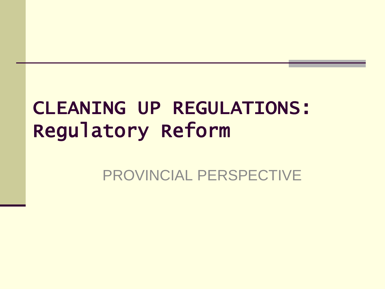## CLEANING UP REGULATIONS: Regulatory Reform

#### PROVINCIAL PERSPECTIVE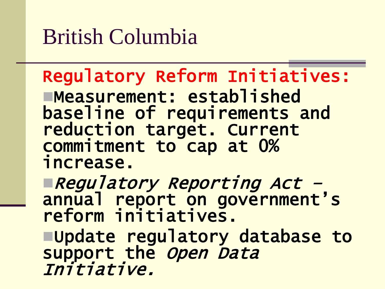# British Columbia

#### Regulatory Reform Initiatives: Measurement: established baseline of requirements and reduction target. Current

commitment to cap at 0% increase.

Regulatory Reporting Act – annual report on government's reform initiatives. Update regulatory database to support the *Open Data* 

Initiative.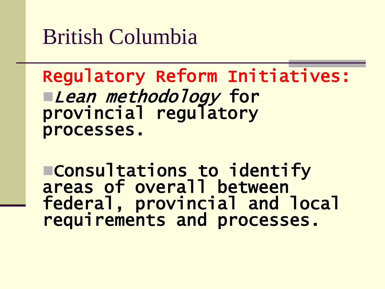British Columbia

Regulatory Reform Initiatives: ■*Lean methodology* for provincial regulatory processes.

Consultations to identify areas of overall between federal, provincial and local requirements and processes.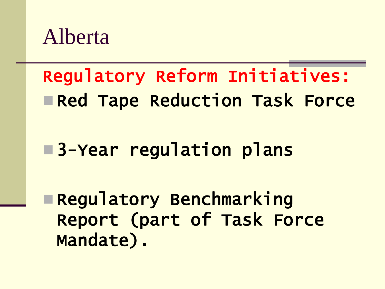

# Regulatory Reform Initiatives: **Red Tape Reduction Task Force**

#### **B**3-Year regulation plans

 Regulatory Benchmarking Report (part of Task Force Mandate).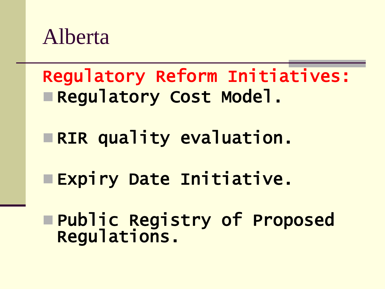

Regulatory Reform Initiatives: Regulatory Cost Model.

**ERIR quality evaluation.** 

**Expiry Date Initiative.** 

 Public Registry of Proposed Regulations.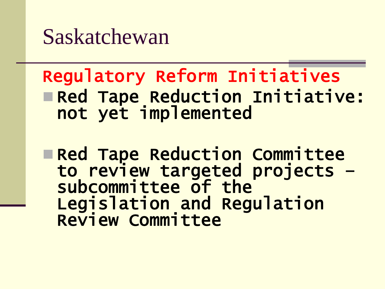Saskatchewan

#### Regulatory Reform Initiatives Red Tape Reduction Initiative: not yet implemented

**Red Tape Reduction Committee** to review targeted projects – subcommittee of the Legislation and Regulation Review Committee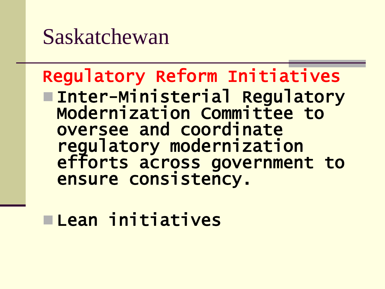### Saskatchewan

#### Regulatory Reform Initiatives Inter-Ministerial Regulatory Modernization Committee to oversee and coordinate regulatory modernization efforts across government to ensure consistency.

Lean initiatives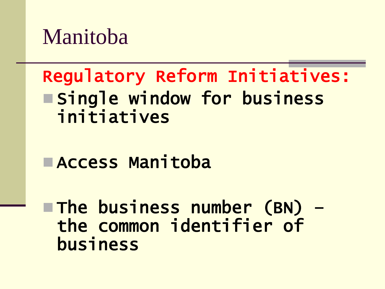Manitoba

#### Regulatory Reform Initiatives: **Esingle window for business** initiatives

Access Manitoba

 The business number (BN) – the common identifier of business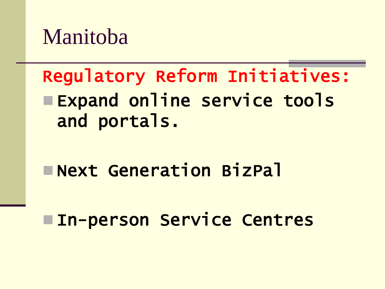Manitoba

## Regulatory Reform Initiatives: **Expand online service tools** and portals.

Next Generation BizPal

**In-person Service Centres**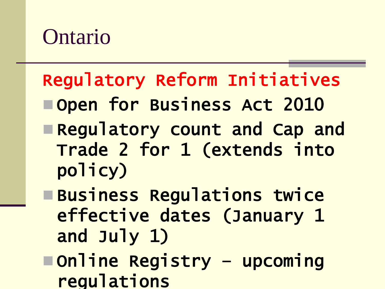## Ontario

### Regulatory Reform Initiatives

- Open for Business Act 2010
- Regulatory count and Cap and Trade 2 for 1 (extends into policy)
- **EBusiness Regulations twice** effective dates (January 1 and July 1)
- Online Registry upcoming regulations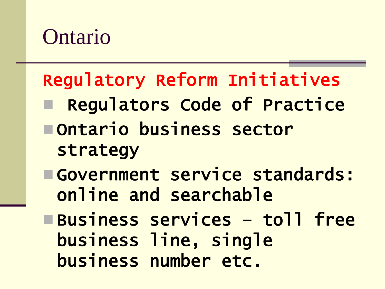## Ontario

# Regulatory Reform Initiatives Regulators Code of Practice Ontario business sector strategy Government service standards: online and searchable Business services – toll free

business line, single business number etc.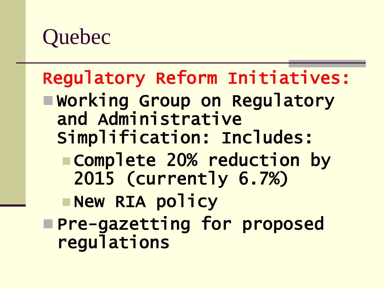# **Quebec**

### Regulatory Reform Initiatives:

- Working Group on Regulatory and Administrative Simplification: Includes:
	- Complete 20% reduction by 2015 (currently 6.7%)
	- **New RIA policy**
- Pre-gazetting for proposed regulations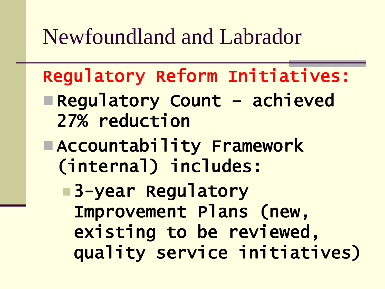## Newfoundland and Labrador

Regulatory Reform Initiatives:

- Regulatory Count achieved 27% reduction
- Accountability Framework (internal) includes:
	- **B**3-year Regulatory Improvement Plans (new, existing to be reviewed, quality service initiatives)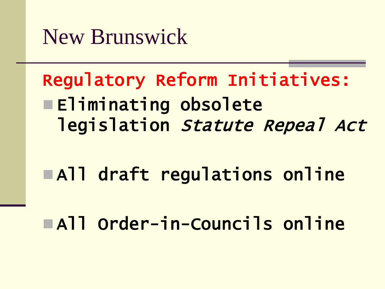New Brunswick

Regulatory Reform Initiatives: **Eliminating obsolete** legislation Statute Repeal Act

All draft regulations online

All Order-in-Councils online